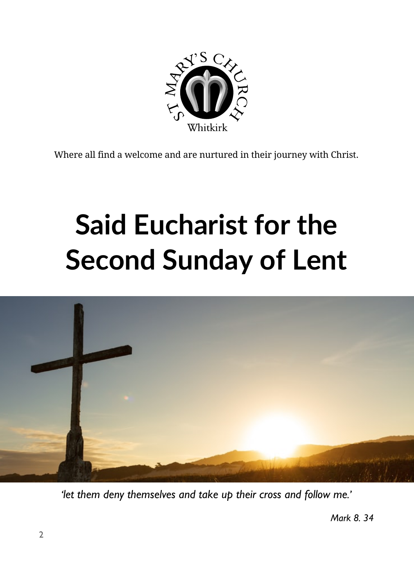

Where all find a welcome and are nurtured in their journey with Christ.

# **Said Eucharist for the Second Sunday of Lent**



*'let them deny themselves and take up their cross and follow me.'* 

*Mark 8. 34*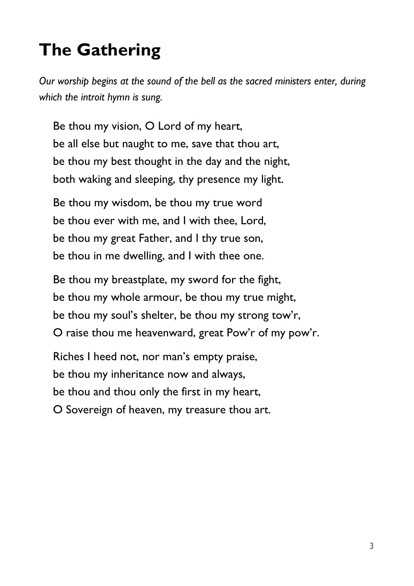# **The Gathering**

*Our worship begins at the sound of the bell as the sacred ministers enter, during which the introit hymn is sung.*

Be thou my vision, O Lord of my heart, be all else but naught to me, save that thou art, be thou my best thought in the day and the night, both waking and sleeping, thy presence my light.

Be thou my wisdom, be thou my true word be thou ever with me, and I with thee, Lord, be thou my great Father, and I thy true son, be thou in me dwelling, and I with thee one.

Be thou my breastplate, my sword for the fight, be thou my whole armour, be thou my true might, be thou my soul's shelter, be thou my strong tow'r, O raise thou me heavenward, great Pow'r of my pow'r.

Riches I heed not, nor man's empty praise, be thou my inheritance now and always, be thou and thou only the first in my heart, O Sovereign of heaven, my treasure thou art.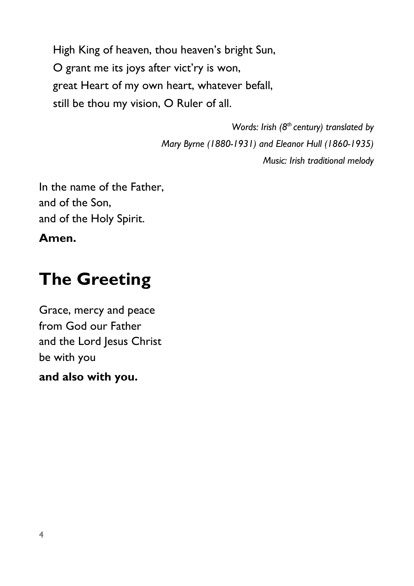High King of heaven, thou heaven's bright Sun, O grant me its joys after vict'ry is won, great Heart of my own heart, whatever befall, still be thou my vision, O Ruler of all.

> *Words: Irish (8th century) translated by Mary Byrne (1880-1931) and Eleanor Hull (1860-1935) Music: Irish traditional melody*

In the name of the Father, and of the Son, and of the Holy Spirit.

**Amen.**

# **The Greeting**

Grace, mercy and peace from God our Father and the Lord Jesus Christ be with you

**and also with you.**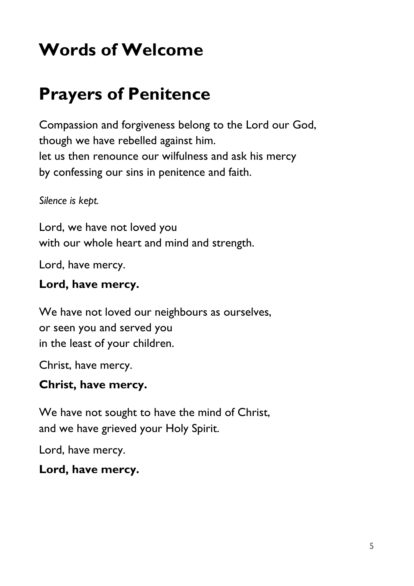# **Words of Welcome**

## **Prayers of Penitence**

Compassion and forgiveness belong to the Lord our God, though we have rebelled against him. let us then renounce our wilfulness and ask his mercy by confessing our sins in penitence and faith.

*Silence is kept.*

Lord, we have not loved you with our whole heart and mind and strength.

Lord, have mercy.

#### **Lord, have mercy.**

We have not loved our neighbours as ourselves, or seen you and served you in the least of your children.

Christ, have mercy.

#### **Christ, have mercy.**

We have not sought to have the mind of Christ, and we have grieved your Holy Spirit.

Lord, have mercy.

#### **Lord, have mercy.**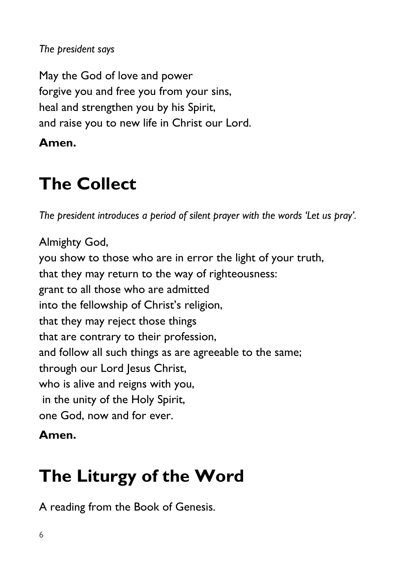#### *The president says*

May the God of love and power forgive you and free you from your sins, heal and strengthen you by his Spirit, and raise you to new life in Christ our Lord.

**Amen.**

# **The Collect**

*The president introduces a period of silent prayer with the words 'Let us pray'.*

Almighty God, you show to those who are in error the light of your truth, that they may return to the way of righteousness: grant to all those who are admitted into the fellowship of Christ's religion, that they may reject those things that are contrary to their profession, and follow all such things as are agreeable to the same; through our Lord Jesus Christ, who is alive and reigns with you, in the unity of the Holy Spirit, one God, now and for ever.

#### **Amen.**

# **The Liturgy of the Word**

A reading from the Book of Genesis.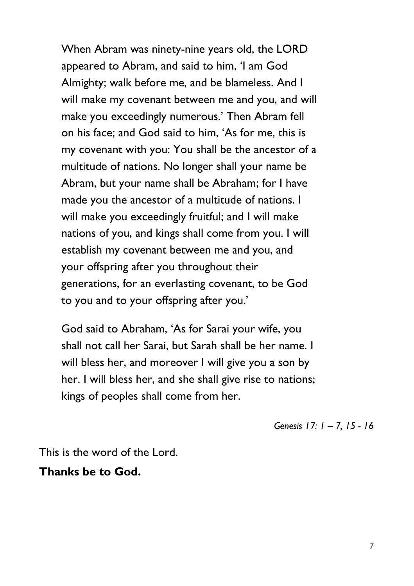When Abram was ninety-nine years old, the LORD appeared to Abram, and said to him, 'I am God Almighty; walk before me, and be blameless. And I will make my covenant between me and you, and will make you exceedingly numerous.' Then Abram fell on his face; and God said to him, 'As for me, this is my covenant with you: You shall be the ancestor of a multitude of nations. No longer shall your name be Abram, but your name shall be Abraham; for I have made you the ancestor of a multitude of nations. I will make you exceedingly fruitful; and I will make nations of you, and kings shall come from you. I will establish my covenant between me and you, and your offspring after you throughout their generations, for an everlasting covenant, to be God to you and to your offspring after you.'

God said to Abraham, 'As for Sarai your wife, you shall not call her Sarai, but Sarah shall be her name. I will bless her, and moreover I will give you a son by her. I will bless her, and she shall give rise to nations; kings of peoples shall come from her.

*Genesis 17: 1 – 7, 15 - 16*

This is the word of the Lord.

**Thanks be to God.**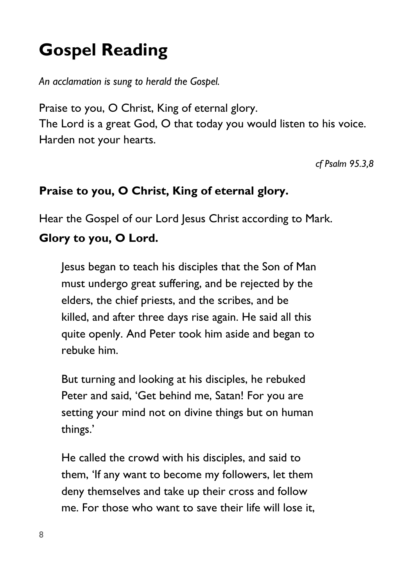# **Gospel Reading**

*An acclamation is sung to herald the Gospel.*

Praise to you, O Christ, King of eternal glory. The Lord is a great God, O that today you would listen to his voice. Harden not your hearts.

*cf Psalm 95.3,8*

#### **Praise to you, O Christ, King of eternal glory.**

Hear the Gospel of our Lord Jesus Christ according to Mark.

#### **Glory to you, O Lord.**

Jesus began to teach his disciples that the Son of Man must undergo great suffering, and be rejected by the elders, the chief priests, and the scribes, and be killed, and after three days rise again. He said all this quite openly. And Peter took him aside and began to rebuke him.

But turning and looking at his disciples, he rebuked Peter and said, 'Get behind me, Satan! For you are setting your mind not on divine things but on human things.'

He called the crowd with his disciples, and said to them, 'If any want to become my followers, let them deny themselves and take up their cross and follow me. For those who want to save their life will lose it,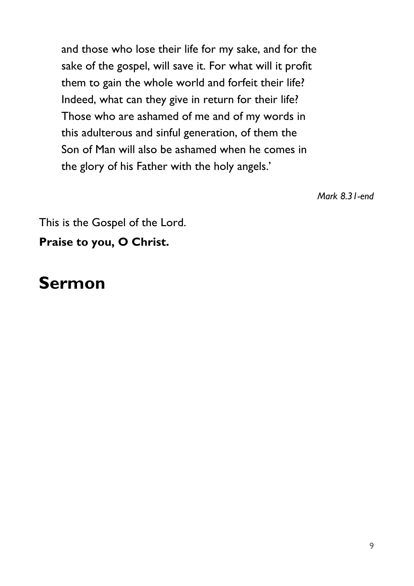and those who lose their life for my sake, and for the sake of the gospel, will save it. For what will it profit them to gain the whole world and forfeit their life? Indeed, what can they give in return for their life? Those who are ashamed of me and of my words in this adulterous and sinful generation, of them the Son of Man will also be ashamed when he comes in the glory of his Father with the holy angels.'

*Mark 8.31-end*

This is the Gospel of the Lord. **Praise to you, O Christ.**

### **Sermon**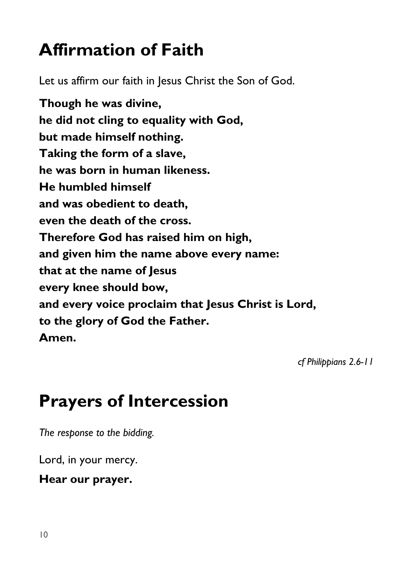# **Affirmation of Faith**

Let us affirm our faith in Jesus Christ the Son of God.

**Though he was divine, he did not cling to equality with God, but made himself nothing. Taking the form of a slave, he was born in human likeness. He humbled himself and was obedient to death, even the death of the cross. Therefore God has raised him on high, and given him the name above every name: that at the name of Jesus every knee should bow, and every voice proclaim that Jesus Christ is Lord, to the glory of God the Father. Amen.**

*cf Philippians 2.6-11*

## **Prayers of Intercession**

*The response to the bidding.*

Lord, in your mercy.

**Hear our prayer.**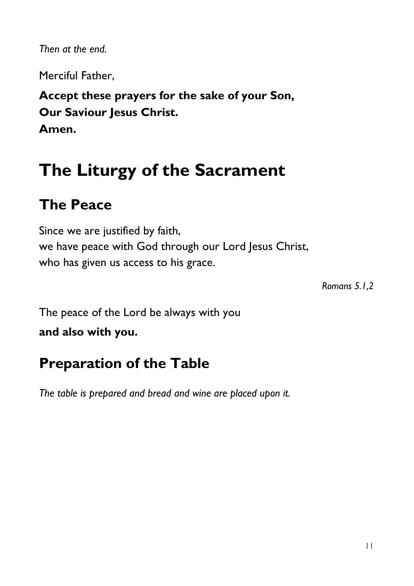*Then at the end.*

Merciful Father,

**Accept these prayers for the sake of your Son, Our Saviour Jesus Christ. Amen.**

# **The Liturgy of the Sacrament**

### **The Peace**

Since we are justified by faith, we have peace with God through our Lord Jesus Christ, who has given us access to his grace.

*Romans 5.1,2*

The peace of the Lord be always with you

**and also with you.**

### **Preparation of the Table**

*The table is prepared and bread and wine are placed upon it.*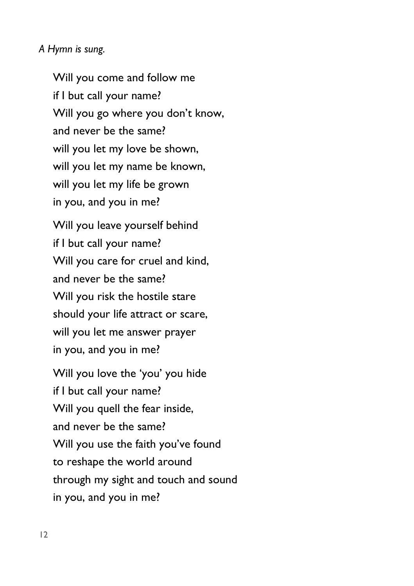#### *A Hymn is sung.*

Will you come and follow me if I but call your name? Will you go where you don't know, and never be the same? will you let my love be shown, will you let my name be known, will you let my life be grown in you, and you in me? Will you leave yourself behind if I but call your name? Will you care for cruel and kind, and never be the same? Will you risk the hostile stare should your life attract or scare, will you let me answer prayer in you, and you in me? Will you love the 'you' you hide if I but call your name? Will you quell the fear inside, and never be the same? Will you use the faith you've found to reshape the world around through my sight and touch and sound

in you, and you in me?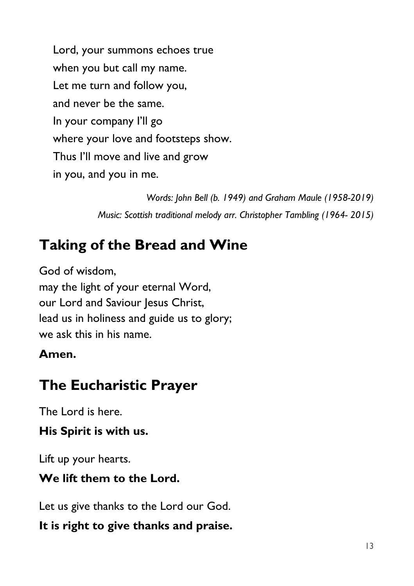Lord, your summons echoes true when you but call my name. Let me turn and follow you, and never be the same. In your company I'll go where your love and footsteps show. Thus I'll move and live and grow in you, and you in me.

> *Words: John Bell (b. 1949) and Graham Maule (1958-2019) Music: Scottish traditional melody arr. Christopher Tambling (1964- 2015)*

### **Taking of the Bread and Wine**

God of wisdom, may the light of your eternal Word, our Lord and Saviour Jesus Christ, lead us in holiness and guide us to glory; we ask this in his name.

#### **Amen.**

### **The Eucharistic Prayer**

The Lord is here.

#### **His Spirit is with us.**

Lift up your hearts.

#### **We lift them to the Lord.**

Let us give thanks to the Lord our God.

#### **It is right to give thanks and praise.**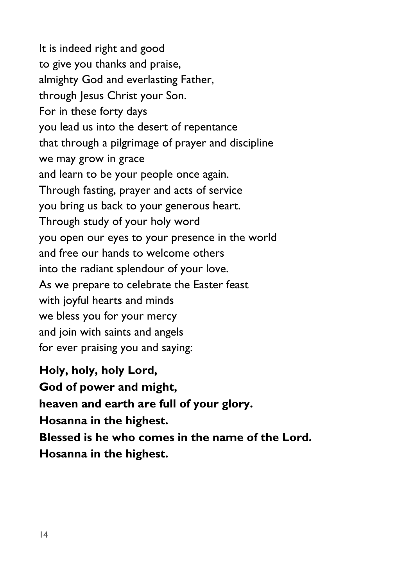It is indeed right and good to give you thanks and praise, almighty God and everlasting Father, through Jesus Christ your Son. For in these forty days you lead us into the desert of repentance that through a pilgrimage of prayer and discipline we may grow in grace and learn to be your people once again. Through fasting, prayer and acts of service you bring us back to your generous heart. Through study of your holy word you open our eyes to your presence in the world and free our hands to welcome others into the radiant splendour of your love. As we prepare to celebrate the Easter feast with joyful hearts and minds we bless you for your mercy and join with saints and angels for ever praising you and saying: **Holy, holy, holy Lord,**

**God of power and might, heaven and earth are full of your glory. Hosanna in the highest. Blessed is he who comes in the name of the Lord. Hosanna in the highest.**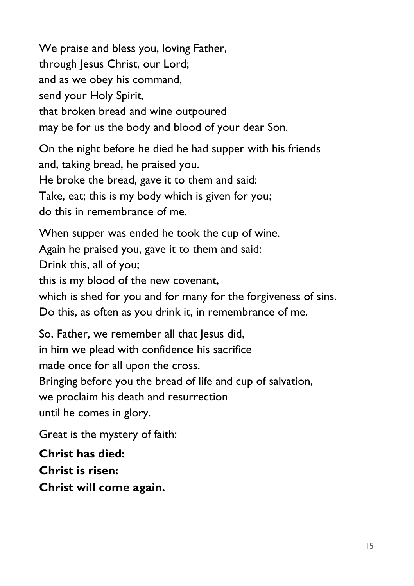We praise and bless you, loving Father, through Jesus Christ, our Lord; and as we obey his command, send your Holy Spirit, that broken bread and wine outpoured may be for us the body and blood of your dear Son.

On the night before he died he had supper with his friends and, taking bread, he praised you. He broke the bread, gave it to them and said: Take, eat; this is my body which is given for you; do this in remembrance of me.

When supper was ended he took the cup of wine. Again he praised you, gave it to them and said: Drink this, all of you; this is my blood of the new covenant, which is shed for you and for many for the forgiveness of sins. Do this, as often as you drink it, in remembrance of me.

So, Father, we remember all that Jesus did, in him we plead with confidence his sacrifice made once for all upon the cross. Bringing before you the bread of life and cup of salvation, we proclaim his death and resurrection until he comes in glory.

Great is the mystery of faith:

**Christ has died: Christ is risen: Christ will come again.**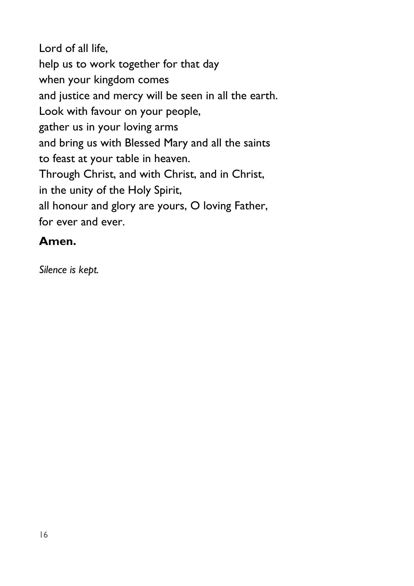Lord of all life, help us to work together for that day when your kingdom comes and justice and mercy will be seen in all the earth. Look with favour on your people, gather us in your loving arms and bring us with Blessed Mary and all the saints to feast at your table in heaven. Through Christ, and with Christ, and in Christ, in the unity of the Holy Spirit, all honour and glory are yours, O loving Father, for ever and ever.

#### **Amen.**

*Silence is kept.*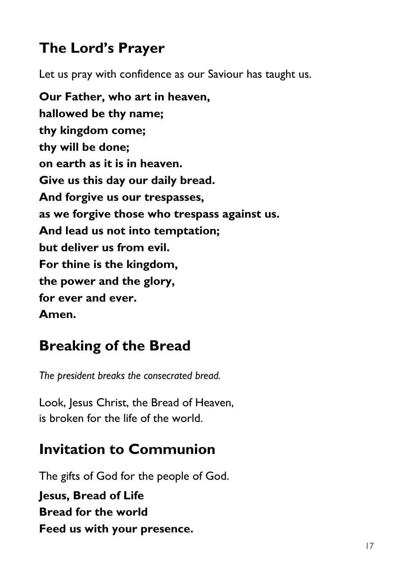### **The Lord's Prayer**

Let us pray with confidence as our Saviour has taught us.

**Our Father, who art in heaven, hallowed be thy name; thy kingdom come; thy will be done; on earth as it is in heaven. Give us this day our daily bread. And forgive us our trespasses, as we forgive those who trespass against us. And lead us not into temptation; but deliver us from evil. For thine is the kingdom, the power and the glory, for ever and ever. Amen.**

### **Breaking of the Bread**

*The president breaks the consecrated bread.*

Look, Jesus Christ, the Bread of Heaven, is broken for the life of the world.

### **Invitation to Communion**

The gifts of God for the people of God. **Jesus, Bread of Life Bread for the world Feed us with your presence.**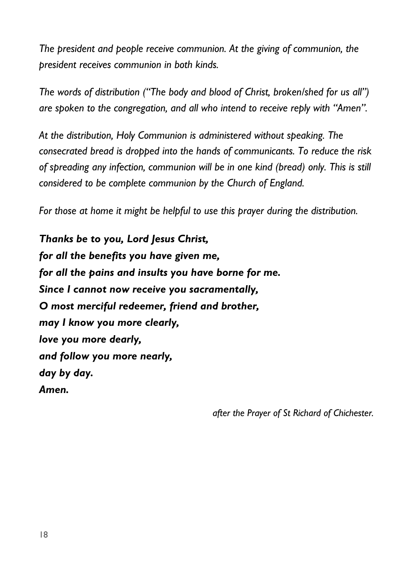*The president and people receive communion. At the giving of communion, the president receives communion in both kinds.*

*The words of distribution ("The body and blood of Christ, broken/shed for us all") are spoken to the congregation, and all who intend to receive reply with "Amen".*

*At the distribution, Holy Communion is administered without speaking. The consecrated bread is dropped into the hands of communicants. To reduce the risk of spreading any infection, communion will be in one kind (bread) only. This is still considered to be complete communion by the Church of England.*

*For those at home it might be helpful to use this prayer during the distribution.*

*Thanks be to you, Lord Jesus Christ, for all the benefits you have given me, for all the pains and insults you have borne for me. Since I cannot now receive you sacramentally, O most merciful redeemer, friend and brother, may I know you more clearly, love you more dearly, and follow you more nearly, day by day. Amen.*

*after the Prayer of St Richard of Chichester.*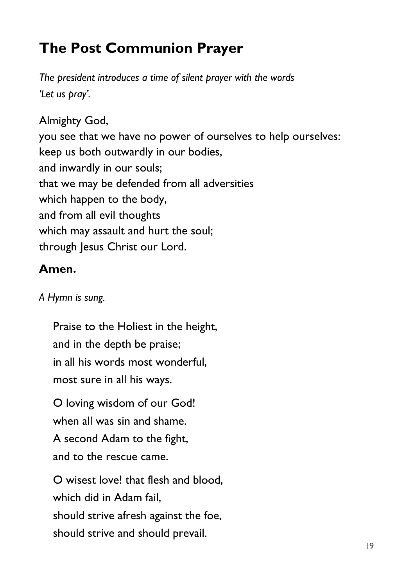### **The Post Communion Prayer**

*The president introduces a time of silent prayer with the words 'Let us pray'.*

Almighty God, you see that we have no power of ourselves to help ourselves: keep us both outwardly in our bodies, and inwardly in our souls; that we may be defended from all adversities which happen to the body, and from all evil thoughts which may assault and hurt the soul; through Jesus Christ our Lord.

#### **Amen.**

#### *A Hymn is sung.*

Praise to the Holiest in the height, and in the depth be praise; in all his words most wonderful, most sure in all his ways.

O loving wisdom of our God! when all was sin and shame. A second Adam to the fight, and to the rescue came.

O wisest love! that flesh and blood, which did in Adam fail, should strive afresh against the foe, should strive and should prevail.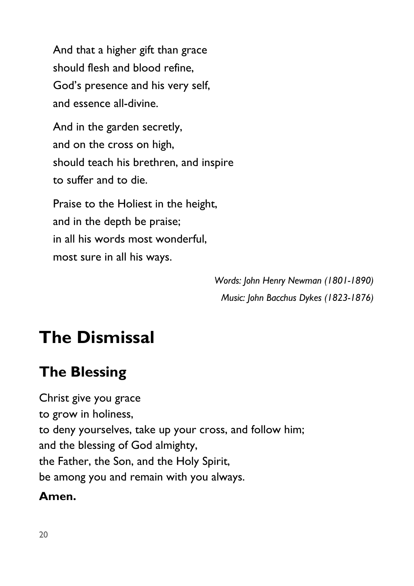And that a higher gift than grace should flesh and blood refine, God's presence and his very self, and essence all-divine.

And in the garden secretly, and on the cross on high, should teach his brethren, and inspire to suffer and to die.

Praise to the Holiest in the height, and in the depth be praise; in all his words most wonderful, most sure in all his ways.

> *Words: John Henry Newman (1801-1890) Music: John Bacchus Dykes (1823-1876)*

# **The Dismissal**

### **The Blessing**

Christ give you grace to grow in holiness, to deny yourselves, take up your cross, and follow him; and the blessing of God almighty, the Father, the Son, and the Holy Spirit, be among you and remain with you always.

#### **Amen.**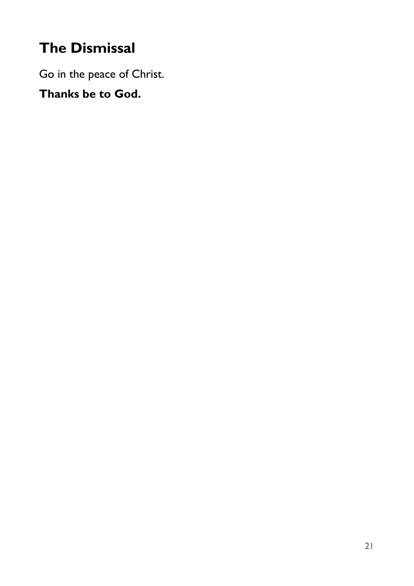### **The Dismissal**

Go in the peace of Christ.

#### **Thanks be to God.**